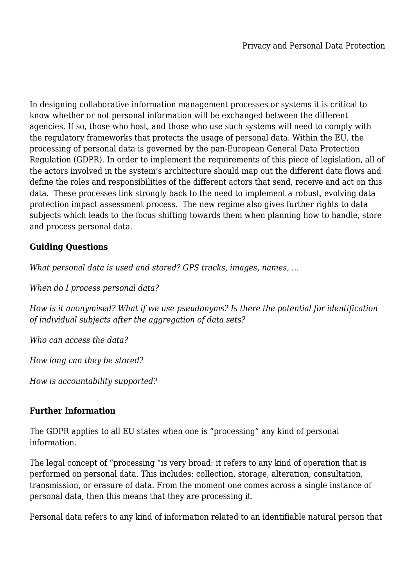In designing collaborative information management processes or systems it is critical to know whether or not personal information will be exchanged between the different agencies. If so, those who host, and those who use such systems will need to comply with the regulatory frameworks that protects the usage of personal data. Within the EU, the processing of personal data is governed by the pan-European General Data Protection Regulation (GDPR). In order to implement the requirements of this piece of legislation, all of the actors involved in the system's architecture should map out the different data flows and define the roles and responsibilities of the different actors that send, receive and act on this data. These processes link strongly back to the need to implement a robust, evolving data protection impact assessment process. The new regime also gives further rights to data subjects which leads to the focus shifting towards them when planning how to handle, store and process personal data.

## **Guiding Questions**

*What personal data is used and stored? GPS tracks, images, names, …*

*When do I process personal data?*

*How is it anonymised? What if we use pseudonyms? Is there the potential for identification of individual subjects after the aggregation of data sets?*

*Who can access the data?*

*How long can they be stored?*

*How is accountability supported?*

## **Further Information**

The GDPR applies to all EU states when one is "processing" any kind of personal information.

The legal concept of "processing "is very broad: it refers to any kind of operation that is performed on personal data. This includes: collection, storage, alteration, consultation, transmission, or erasure of data. From the moment one comes across a single instance of personal data, then this means that they are processing it.

Personal data refers to any kind of information related to an identifiable natural person that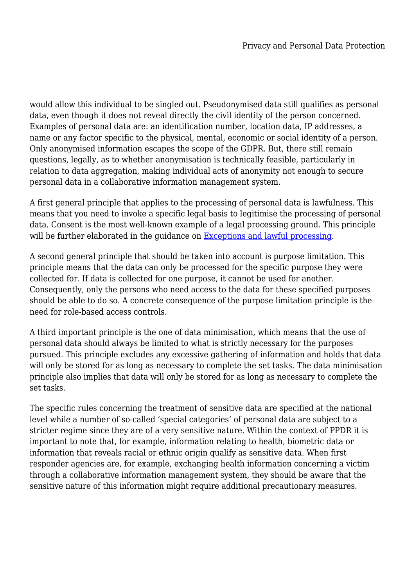would allow this individual to be singled out. Pseudonymised data still qualifies as personal data, even though it does not reveal directly the civil identity of the person concerned. Examples of personal data are: an identification number, location data, IP addresses, a name or any factor specific to the physical, mental, economic or social identity of a person. Only anonymised information escapes the scope of the GDPR. But, there still remain questions, legally, as to whether anonymisation is technically feasible, particularly in relation to data aggregation, making individual acts of anonymity not enough to secure personal data in a collaborative information management system.

A first general principle that applies to the processing of personal data is lawfulness. This means that you need to invoke a specific legal basis to legitimise the processing of personal data. Consent is the most well-known example of a legal processing ground. This principle will be further elaborated in the quidance on [Exceptions and lawful processing.](https://www.isitethical.org/lawful-conduct/exceptions-and-lawful-processing)

A second general principle that should be taken into account is purpose limitation. This principle means that the data can only be processed for the specific purpose they were collected for. If data is collected for one purpose, it cannot be used for another. Consequently, only the persons who need access to the data for these specified purposes should be able to do so. A concrete consequence of the purpose limitation principle is the need for role-based access controls.

A third important principle is the one of data minimisation, which means that the use of personal data should always be limited to what is strictly necessary for the purposes pursued. This principle excludes any excessive gathering of information and holds that data will only be stored for as long as necessary to complete the set tasks. The data minimisation principle also implies that data will only be stored for as long as necessary to complete the set tasks.

The specific rules concerning the treatment of sensitive data are specified at the national level while a number of so-called 'special categories' of personal data are subject to a stricter regime since they are of a very sensitive nature. Within the context of PPDR it is important to note that, for example, information relating to health, biometric data or information that reveals racial or ethnic origin qualify as sensitive data. When first responder agencies are, for example, exchanging health information concerning a victim through a collaborative information management system, they should be aware that the sensitive nature of this information might require additional precautionary measures.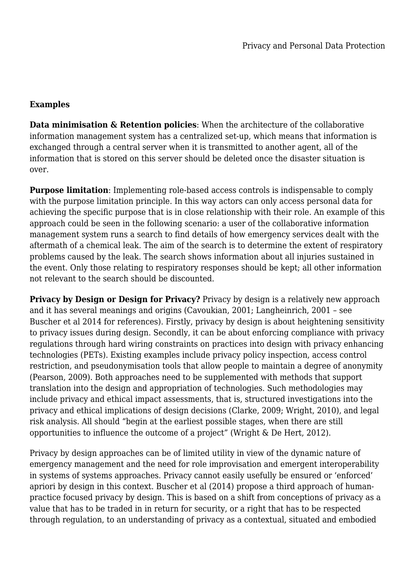## **Examples**

**Data minimisation & Retention policies**: When the architecture of the collaborative information management system has a centralized set-up, which means that information is exchanged through a central server when it is transmitted to another agent, all of the information that is stored on this server should be deleted once the disaster situation is over.

**Purpose limitation**: Implementing role-based access controls is indispensable to comply with the purpose limitation principle. In this way actors can only access personal data for achieving the specific purpose that is in close relationship with their role. An example of this approach could be seen in the following scenario: a user of the collaborative information management system runs a search to find details of how emergency services dealt with the aftermath of a chemical leak. The aim of the search is to determine the extent of respiratory problems caused by the leak. The search shows information about all injuries sustained in the event. Only those relating to respiratory responses should be kept; all other information not relevant to the search should be discounted.

**Privacy by Design or Design for Privacy?** Privacy by design is a relatively new approach and it has several meanings and origins (Cavoukian, 2001; Langheinrich, 2001 – see Buscher et al 2014 for references). Firstly, privacy by design is about heightening sensitivity to privacy issues during design. Secondly, it can be about enforcing compliance with privacy regulations through hard wiring constraints on practices into design with privacy enhancing technologies (PETs). Existing examples include privacy policy inspection, access control restriction, and pseudonymisation tools that allow people to maintain a degree of anonymity (Pearson, 2009). Both approaches need to be supplemented with methods that support translation into the design and appropriation of technologies. Such methodologies may include privacy and ethical impact assessments, that is, structured investigations into the privacy and ethical implications of design decisions (Clarke, 2009; Wright, 2010), and legal risk analysis. All should "begin at the earliest possible stages, when there are still opportunities to influence the outcome of a project" (Wright & De Hert, 2012).

Privacy by design approaches can be of limited utility in view of the dynamic nature of emergency management and the need for role improvisation and emergent interoperability in systems of systems approaches. Privacy cannot easily usefully be ensured or 'enforced' apriori by design in this context. Buscher et al (2014) propose a third approach of humanpractice focused privacy by design. This is based on a shift from conceptions of privacy as a value that has to be traded in in return for security, or a right that has to be respected through regulation, to an understanding of privacy as a contextual, situated and embodied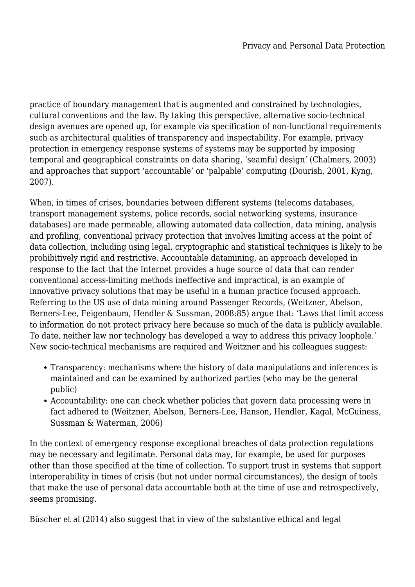practice of boundary management that is augmented and constrained by technologies, cultural conventions and the law. By taking this perspective, alternative socio-technical design avenues are opened up, for example via specification of non-functional requirements such as architectural qualities of transparency and inspectability. For example, privacy protection in emergency response systems of systems may be supported by imposing temporal and geographical constraints on data sharing, 'seamful design' (Chalmers, 2003) and approaches that support 'accountable' or 'palpable' computing (Dourish, 2001, Kyng, 2007).

When, in times of crises, boundaries between different systems (telecoms databases, transport management systems, police records, social networking systems, insurance databases) are made permeable, allowing automated data collection, data mining, analysis and profiling, conventional privacy protection that involves limiting access at the point of data collection, including using legal, cryptographic and statistical techniques is likely to be prohibitively rigid and restrictive. Accountable datamining, an approach developed in response to the fact that the Internet provides a huge source of data that can render conventional access-limiting methods ineffective and impractical, is an example of innovative privacy solutions that may be useful in a human practice focused approach. Referring to the US use of data mining around Passenger Records, (Weitzner, Abelson, Berners-Lee, Feigenbaum, Hendler & Sussman, 2008:85) argue that: 'Laws that limit access to information do not protect privacy here because so much of the data is publicly available. To date, neither law nor technology has developed a way to address this privacy loophole.' New socio-technical mechanisms are required and Weitzner and his colleagues suggest:

- Transparency: mechanisms where the history of data manipulations and inferences is maintained and can be examined by authorized parties (who may be the general public)
- Accountability: one can check whether policies that govern data processing were in fact adhered to (Weitzner, Abelson, Berners-Lee, Hanson, Hendler, Kagal, McGuiness, Sussman & Waterman, 2006)

In the context of emergency response exceptional breaches of data protection regulations may be necessary and legitimate. Personal data may, for example, be used for purposes other than those specified at the time of collection. To support trust in systems that support interoperability in times of crisis (but not under normal circumstances), the design of tools that make the use of personal data accountable both at the time of use and retrospectively, seems promising.

Büscher et al (2014) also suggest that in view of the substantive ethical and legal